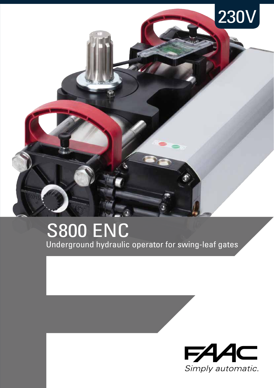

## Underground hydraulic operator for swing-leaf gates **S800 ENC**

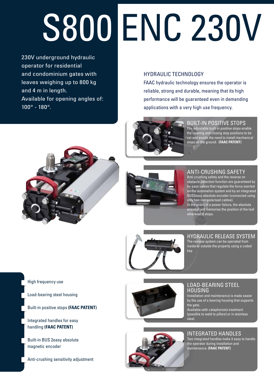# S800 ENC 230V

230V underground hydraulic operator for residential and condominium gates with leaves weighing up to 800 kg and 4 m in length. Available for opening angles of: 100° - 180°.

#### HYDRAULIC TECHNOLOGY

FAAC hydraulic technology ensures the operator is reliable, strong and durable, meaning that its high performance will be guaranteed even in demanding applications with a very high use frequency.



#### BUILT-IN POSITIVE STOPS

The adjustable built-in positive stops enable the opening and closing stop positions to be set and avoids the need to install mechanical stops on the ground. **(FAAC PATENT)**





#### ANTI-CRUSHING SAFETY

Anti-crushing safety and the reverse on obstacle detection function are guaranteed by by-pass valves that regulate the force exerted on the automation system and by an integrated BUS2easy absolute encoder (connected using only two non-polarised cables).

In the event of a power failure, the absolute encoder will memorise the position of the leaf wherever it stops.



#### Hydraulic release system

The release system can be operated from inside or outside the property using a coded key.

High frequency use

Load-bearing steel housing

Built-in positive stops **(FAAC PATENT)**

Integrated handles for easy handling **(FAAC PATENT)**

Built-in BUS 2easy absolute magnetic encoder

Anti-crushing sensitivity adjustment



#### Load-bearing steel housing

Installation and maintenance is made easier by the use of a bearing housing that supports the gate.

Available with cataphoresis treatment (possible to weld to pillars) or in stainless steel.

#### INTEGRATED HANDLES

Two integrated handles make it easy to handle the operator during installation and maintenance. **(FAAC PATENT)**

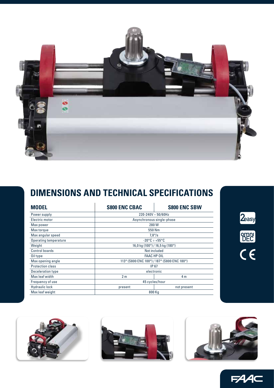

### **DIMENSIONS AND TECHNICAL SPECIFICATIONS**

| <b>MODEL</b>            | <b>S800 ENC CBAC</b>                        | <b>S800 ENC SBW</b> |
|-------------------------|---------------------------------------------|---------------------|
| Power supply            | $220 - 240V \sim 50/60Hz$                   |                     |
| Electric motor          | Asynchronous single-phase                   |                     |
| Max power               | 280W                                        |                     |
| Max torque              | 550 Nm                                      |                     |
| Max angular speed       | $7.8^{\circ}/s$                             |                     |
| Operating temperature   | $-20\degree$ C $\div$ +55 $\degree$ C       |                     |
| Weight                  | 16,0 kg (100°) / 16,5 kg (180°)             |                     |
| Control boards          | Not included                                |                     |
| Oil type                | <b>FAAC HP OIL</b>                          |                     |
| Max opening angle       | 113° (S800 ENC 100°) / 187° (S800 ENC 180°) |                     |
| <b>Protection class</b> | IP 67                                       |                     |
| Deceleration type       | electronic                                  |                     |
| Max leaf width          | 2 <sub>m</sub>                              | 4 m                 |
| Frequency of use        | 45 cycles/hour                              |                     |
| <b>Hydraulic lock</b>   | present                                     | not present         |
| Max leaf weight         | 800 Kg                                      |                     |